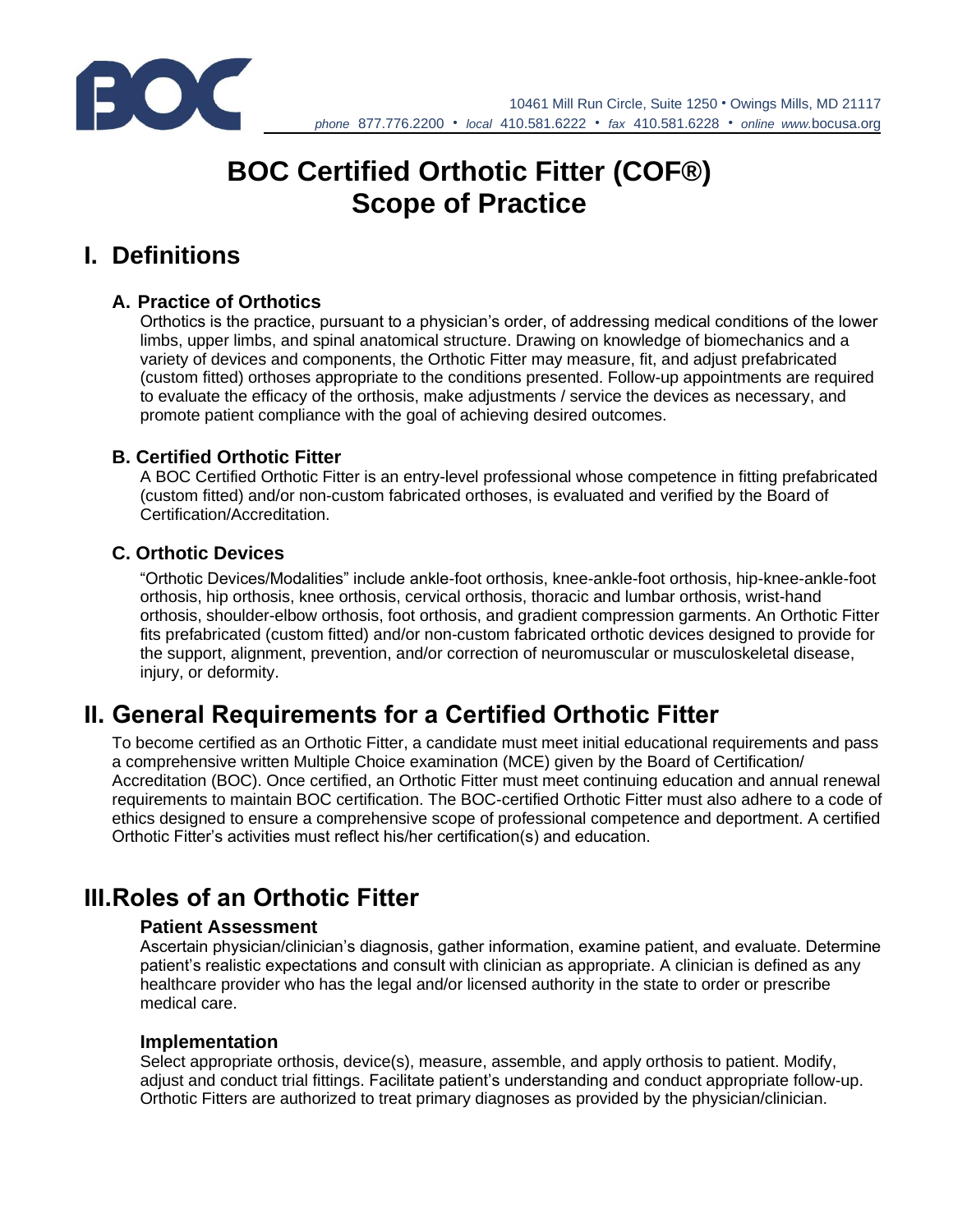

10461 Mill Run Circle, Suite 1250 • Owings Mills, MD 21117 *phone* 877.776.2200 • *local* 410.581.6222 • *fax* 410.581.6228 • *online www.*bocusa.org

# **BOC Certified Orthotic Fitter (COF®) Scope of Practice**

## **I. Definitions**

#### **A. Practice of Orthotics**

Orthotics is the practice, pursuant to a physician's order, of addressing medical conditions of the lower limbs, upper limbs, and spinal anatomical structure. Drawing on knowledge of biomechanics and a variety of devices and components, the Orthotic Fitter may measure, fit, and adjust prefabricated (custom fitted) orthoses appropriate to the conditions presented. Follow-up appointments are required to evaluate the efficacy of the orthosis, make adjustments / service the devices as necessary, and promote patient compliance with the goal of achieving desired outcomes.

#### **B. Certified Orthotic Fitter**

A BOC Certified Orthotic Fitter is an entry-level professional whose competence in fitting prefabricated (custom fitted) and/or non-custom fabricated orthoses, is evaluated and verified by the Board of Certification/Accreditation.

#### **C. Orthotic Devices**

"Orthotic Devices/Modalities" include ankle-foot orthosis, knee-ankle-foot orthosis, hip-knee-ankle-foot orthosis, hip orthosis, knee orthosis, cervical orthosis, thoracic and lumbar orthosis, wrist-hand orthosis, shoulder-elbow orthosis, foot orthosis, and gradient compression garments. An Orthotic Fitter fits prefabricated (custom fitted) and/or non-custom fabricated orthotic devices designed to provide for the support, alignment, prevention, and/or correction of neuromuscular or musculoskeletal disease, injury, or deformity.

# **II. General Requirements for a Certified Orthotic Fitter**

To become certified as an Orthotic Fitter, a candidate must meet initial educational requirements and pass a comprehensive written Multiple Choice examination (MCE) given by the Board of Certification/ Accreditation (BOC). Once certified, an Orthotic Fitter must meet continuing education and annual renewal requirements to maintain BOC certification. The BOC-certified Orthotic Fitter must also adhere to a code of ethics designed to ensure a comprehensive scope of professional competence and deportment. A certified Orthotic Fitter's activities must reflect his/her certification(s) and education.

# **III.Roles of an Orthotic Fitter**

#### **Patient Assessment**

Ascertain physician/clinician's diagnosis, gather information, examine patient, and evaluate. Determine patient's realistic expectations and consult with clinician as appropriate. A clinician is defined as any healthcare provider who has the legal and/or licensed authority in the state to order or prescribe medical care.

#### **Implementation**

Select appropriate orthosis, device(s), measure, assemble, and apply orthosis to patient. Modify, adjust and conduct trial fittings. Facilitate patient's understanding and conduct appropriate follow-up. Orthotic Fitters are authorized to treat primary diagnoses as provided by the physician/clinician.